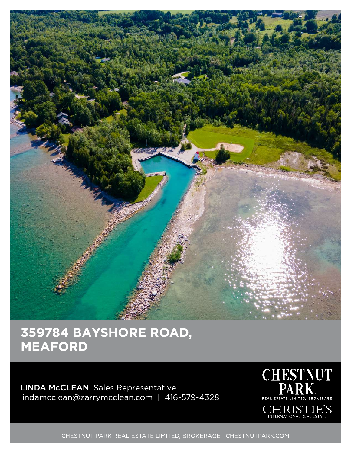

## 359784 BAYSHORE ROAD, MEAFORD

LINDA McCLEAN, Sales Representative lindamcclean@zarrymcclean.com | 416-579-4328



CHRISTIE'S

CHESTNUT PARK REAL ESTATE LIMITED, BROKERAGE | CHESTNUTPARK.COM